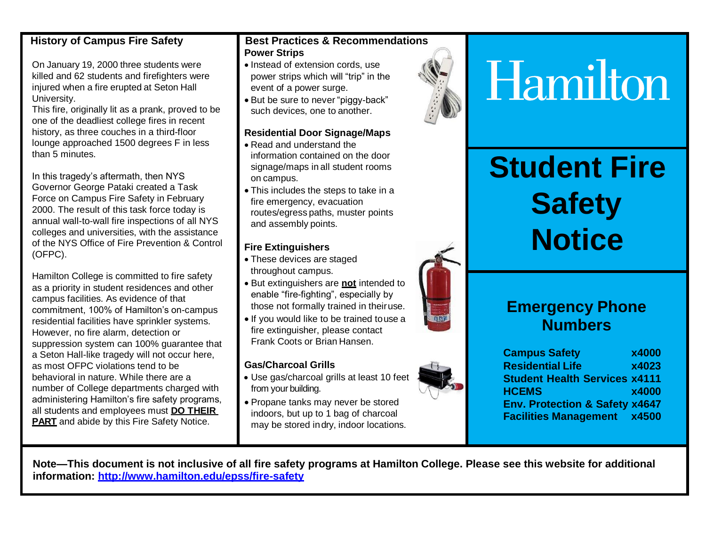#### **History of Campus Fire Safety**

On January 19, 2000 three students were killed and 62 students and firefighters were injured when a fire erupted at Seton Hall University.

This fire, originally lit as a prank, proved to be one of the deadliest college fires in recent history, as three couches in a third-floor lounge approached 1500 degrees F in less than 5 minutes.

In this tragedy's aftermath, then NYS Governor George Pataki created a Task Force on Campus Fire Safety in February 2000. The result of this task force today is annual wall-to-wall fire inspections of all NYS colleges and universities, with the assistance of the NYS Office of Fire Prevention & Control (OFPC).

Hamilton College is committed to fire safety as a priority in student residences and other campus facilities. As evidence of that commitment, 100% of Hamilton's on-campus residential facilities have sprinkler systems. However, no fire alarm, detection or suppression system can 100% guarantee that a Seton Hall-like tragedy will not occur here, as most OFPC violations tend to be behavioral in nature. While there are a number of College departments charged with administering Hamilton's fire safety programs, all students and employees must **DO THEIR PART** and abide by this Fire Safety Notice.

#### **Best Practices & Recommendations Power Strips**

- Instead of extension cords, use power strips which will "trip" in the event of a power surge.
- But be sure to never "piggy-back" such devices, one to another.

#### **Residential Door Signage/Maps**

- Read and understand the information contained on the door signage/maps in all student rooms on campus.
- This includes the steps to take in a fire emergency, evacuation routes/egress paths, muster points and assembly points.

#### **Fire Extinguishers**

- These devices are staged throughout campus.
- But extinguishers are **not** intended to enable "fire-fighting", especially by those not formally trained in theiruse.
- If you would like to be trained touse a fire extinguisher, please contact Frank Coots or Brian Hansen.

#### **Gas/Charcoal Grills**

- Use gas/charcoal grills at least 10 feet from your building.
- Propane tanks may never be stored indoors, but up to 1 bag of charcoal may be stored indry, indoor locations.



# Hamilton

# **Student Fire Safety Notice**

### **Emergency Phone Numbers**

**Campus Safety x4000 Residential Life x4023 Student Health Services x4111 HCEMS x4000 Env. Protection & Safety x4647 Facilities Management x4500**

**Note—This document is not inclusive of all fire safety programs at Hamilton College. Please see this website for additional information:<http://www.hamilton.edu/epss/fire-safety>**